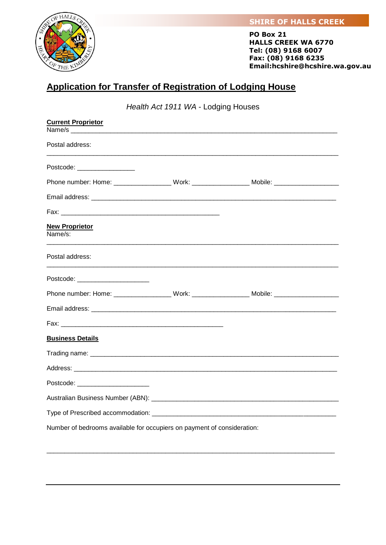## **SHIRE OF HALLS CREEK**



**PO Box 21 HALLS CREEK WA 6770 Tel: (08) 9168 6007 Fax: (08) 9168 6235 Email:hcshire@hcshire.wa.gov.au**

## **Application for Transfer of Registration of Lodging House**

*Health Act 1911 WA* - Lodging Houses

| <b>Current Proprietor</b>                                                                            |  |  |
|------------------------------------------------------------------------------------------------------|--|--|
|                                                                                                      |  |  |
| Postal address:                                                                                      |  |  |
| Postcode: ___________________                                                                        |  |  |
| Phone number: Home: _____________________Work: ________________________Mobile: _____________________ |  |  |
|                                                                                                      |  |  |
|                                                                                                      |  |  |
| <b>New Proprietor</b><br>Name/s:                                                                     |  |  |
| Postal address:                                                                                      |  |  |
| Postcode: ________________________                                                                   |  |  |
| Phone number: Home: ____________________Work: _______________________Mobile: _______________________ |  |  |
|                                                                                                      |  |  |
|                                                                                                      |  |  |
| <b>Business Details</b>                                                                              |  |  |
|                                                                                                      |  |  |
|                                                                                                      |  |  |
| Postcode: ________________________                                                                   |  |  |
|                                                                                                      |  |  |
|                                                                                                      |  |  |
| Number of bedrooms available for occupiers on payment of consideration:                              |  |  |

\_\_\_\_\_\_\_\_\_\_\_\_\_\_\_\_\_\_\_\_\_\_\_\_\_\_\_\_\_\_\_\_\_\_\_\_\_\_\_\_\_\_\_\_\_\_\_\_\_\_\_\_\_\_\_\_\_\_\_\_\_\_\_\_\_\_\_\_\_\_\_\_\_\_\_\_\_\_\_\_